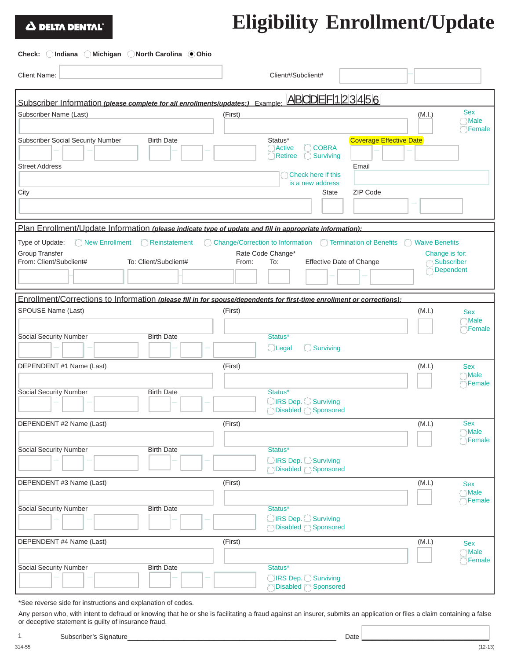## Δ DELTA DENTAL

## **Eligibility Enrollment/Update**

## **Check: Indiana Michigan North Carolina Ohio**

| <b>Client Name:</b>                                                                                                    | Client#/Subclient#                                                                                         |                                                  |
|------------------------------------------------------------------------------------------------------------------------|------------------------------------------------------------------------------------------------------------|--------------------------------------------------|
| Subscriber Information (please complete for all enrollments/updates:) Example:                                         | ABCDEF123456                                                                                               |                                                  |
|                                                                                                                        |                                                                                                            | <b>Sex</b>                                       |
| Subscriber Name (Last)                                                                                                 | (First)                                                                                                    | (M.I.)<br><b>Male</b><br>Female                  |
| <b>Subscriber Social Security Number</b><br><b>Birth Date</b><br><b>Street Address</b>                                 | Coverage Effective Date<br>Status*<br><b>COBRA</b><br>Active<br><b>Surviving</b><br>Retiree<br>С.<br>Email |                                                  |
|                                                                                                                        | Check here if this<br>is a new address                                                                     |                                                  |
| City                                                                                                                   | ZIP Code<br><b>State</b>                                                                                   |                                                  |
|                                                                                                                        |                                                                                                            |                                                  |
| Plan Enrollment/Update Information (please indicate type of update and fill in appropriate information):               |                                                                                                            |                                                  |
| Type of Update:<br>New Enrollment<br>Reinstatement                                                                     | C Change/Correction to Information C Termination of Benefits                                               | <b>Waive Benefits</b><br>(                       |
| <b>Group Transfer</b><br>From: Client/Subclient#<br>To: Client/Subclient#                                              | Rate Code Change*<br>From:<br>To:<br><b>Effective Date of Change</b>                                       | Change is for:<br>Subscriber<br><b>Dependent</b> |
|                                                                                                                        |                                                                                                            |                                                  |
| Enrollment/Corrections to Information (please fill in for spouse/dependents for first-time enrollment or corrections): |                                                                                                            |                                                  |
| SPOUSE Name (Last)                                                                                                     | (First)                                                                                                    | (M.I.)<br><b>Sex</b>                             |
|                                                                                                                        |                                                                                                            | <b>Male</b>                                      |
| <b>Social Security Number</b><br><b>Birth Date</b>                                                                     | Status*                                                                                                    | Female                                           |
|                                                                                                                        | Surviving<br>Legal                                                                                         |                                                  |
| DEPENDENT #1 Name (Last)                                                                                               | (First)                                                                                                    | (M.I.)<br><b>Sex</b>                             |
|                                                                                                                        |                                                                                                            | Male                                             |
| <b>Social Security Number</b><br><b>Birth Date</b>                                                                     | Status*                                                                                                    | Temale                                           |
|                                                                                                                        | ◯ IRS Dep. ◯ Surviving                                                                                     |                                                  |
|                                                                                                                        | ◯Disabled ◯ Sponsored                                                                                      |                                                  |
| DEPENDENT #2 Name (Last)                                                                                               | (First)                                                                                                    | (M.I.)<br><b>Sex</b>                             |
|                                                                                                                        |                                                                                                            | Male<br>$\bigcirc$ Female                        |
| <b>Social Security Number</b><br><b>Birth Date</b>                                                                     | Status*                                                                                                    |                                                  |
|                                                                                                                        | ◯IRS Dep. ◯ Surviving                                                                                      |                                                  |
|                                                                                                                        | ◯Disabled ◯ Sponsored                                                                                      |                                                  |
| DEPENDENT #3 Name (Last)                                                                                               | (First)                                                                                                    | (M.I.)<br><b>Sex</b>                             |
|                                                                                                                        |                                                                                                            | <b>Male</b><br>Female                            |
| Social Security Number<br><b>Birth Date</b>                                                                            | Status*                                                                                                    |                                                  |
|                                                                                                                        | ◯ IRS Dep. ◯ Surviving                                                                                     |                                                  |
| DEPENDENT #4 Name (Last)                                                                                               | (First)                                                                                                    | (M.I.)<br><b>Sex</b>                             |
|                                                                                                                        |                                                                                                            | Male                                             |
| Social Security Number<br><b>Birth Date</b>                                                                            | Status*                                                                                                    | Female                                           |
|                                                                                                                        | ◯ IRS Dep. ◯ Surviving                                                                                     |                                                  |
|                                                                                                                        |                                                                                                            |                                                  |

\*See reverse side for instructions and explanation of codes.

Any person who, with intent to defraud or knowing that he or she is facilitating a fraud against an insurer, submits an application or files a claim containing a false or deceptive statement is guilty of insurance fraud.